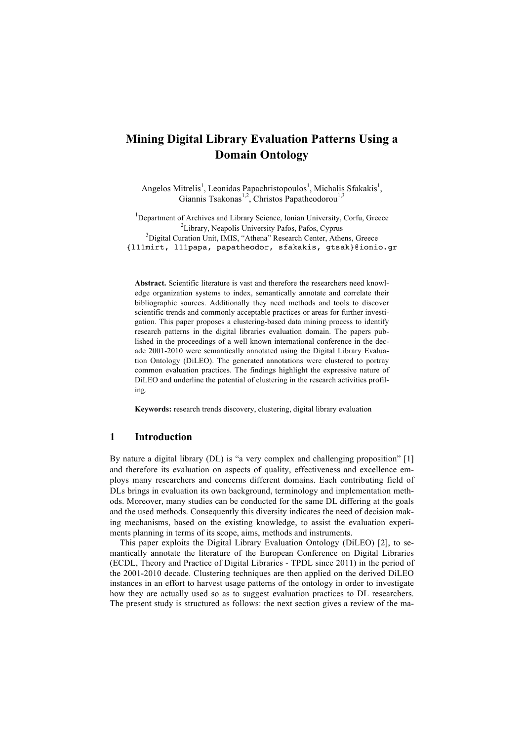# **Mining Digital Library Evaluation Patterns Using a Domain Ontology**

Angelos Mitrelis<sup>1</sup>, Leonidas Papachristopoulos<sup>1</sup>, Michalis Sfakakis<sup>1</sup>, Giannis Tsakonas<sup>1,2</sup>, Christos Papatheodorou<sup>1,3</sup>

<sup>1</sup>Department of Archives and Library Science, Ionian University, Corfu, Greece  $\frac{2\tau}{l}$  ibrary. Neapolis University Refea Refea Cymrus <sup>2</sup>Library, Neapolis University Pafos, Pafos, Cyprus <sup>3</sup>Digital Curation Unit, IMIS, "Athena" Research Center, Athens, Greece

{l11mirt, l11papa, papatheodor, sfakakis, gtsak}@ionio.gr

**Abstract.** Scientific literature is vast and therefore the researchers need knowledge organization systems to index, semantically annotate and correlate their bibliographic sources. Additionally they need methods and tools to discover scientific trends and commonly acceptable practices or areas for further investigation. This paper proposes a clustering-based data mining process to identify research patterns in the digital libraries evaluation domain. The papers published in the proceedings of a well known international conference in the decade 2001-2010 were semantically annotated using the Digital Library Evaluation Ontology (DiLEO). The generated annotations were clustered to portray common evaluation practices. The findings highlight the expressive nature of DiLEO and underline the potential of clustering in the research activities profiling.

**Keywords:** research trends discovery, clustering, digital library evaluation

### **1 Introduction**

By nature a digital library (DL) is "a very complex and challenging proposition" [1] and therefore its evaluation on aspects of quality, effectiveness and excellence employs many researchers and concerns different domains. Each contributing field of DLs brings in evaluation its own background, terminology and implementation methods. Moreover, many studies can be conducted for the same DL differing at the goals and the used methods. Consequently this diversity indicates the need of decision making mechanisms, based on the existing knowledge, to assist the evaluation experiments planning in terms of its scope, aims, methods and instruments.

This paper exploits the Digital Library Evaluation Ontology (DiLEO) [2], to semantically annotate the literature of the European Conference on Digital Libraries (ECDL, Theory and Practice of Digital Libraries - TPDL since 2011) in the period of the 2001-2010 decade. Clustering techniques are then applied on the derived DiLEO instances in an effort to harvest usage patterns of the ontology in order to investigate how they are actually used so as to suggest evaluation practices to DL researchers. The present study is structured as follows: the next section gives a review of the ma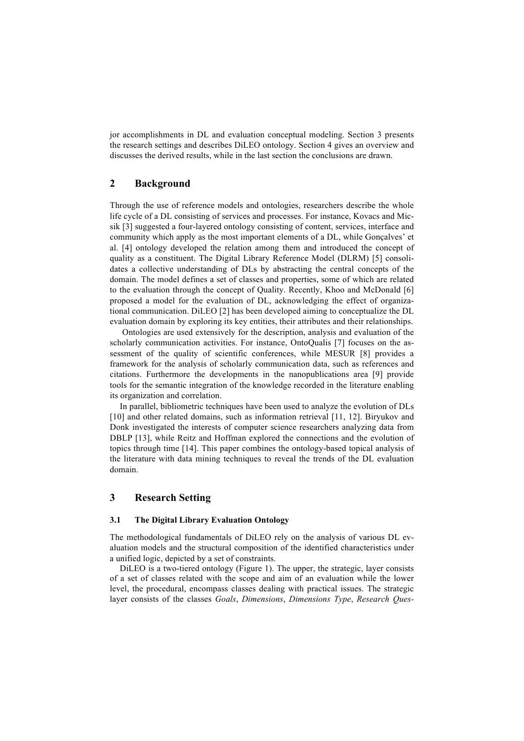jor accomplishments in DL and evaluation conceptual modeling. Section 3 presents the research settings and describes DiLEO ontology. Section 4 gives an overview and discusses the derived results, while in the last section the conclusions are drawn.

## **2 Background**

Through the use of reference models and ontologies, researchers describe the whole life cycle of a DL consisting of services and processes. For instance, Kovacs and Micsik [3] suggested a four-layered ontology consisting of content, services, interface and community which apply as the most important elements of a DL, while Gonçalves' et al. [4] ontology developed the relation among them and introduced the concept of quality as a constituent. The Digital Library Reference Model (DLRM) [5] consolidates a collective understanding of DLs by abstracting the central concepts of the domain. The model defines a set of classes and properties, some of which are related to the evaluation through the concept of Quality. Recently, Khoo and McDonald [6] proposed a model for the evaluation of DL, acknowledging the effect of organizational communication. DiLEO [2] has been developed aiming to conceptualize the DL evaluation domain by exploring its key entities, their attributes and their relationships.

Ontologies are used extensively for the description, analysis and evaluation of the scholarly communication activities. For instance, OntoQualis [7] focuses on the assessment of the quality of scientific conferences, while MESUR [8] provides a framework for the analysis of scholarly communication data, such as references and citations. Furthermore the developments in the nanopublications area [9] provide tools for the semantic integration of the knowledge recorded in the literature enabling its organization and correlation.

In parallel, bibliometric techniques have been used to analyze the evolution of DLs [10] and other related domains, such as information retrieval [11, 12]. Biryukov and Donk investigated the interests of computer science researchers analyzing data from DBLP [13], while Reitz and Hoffman explored the connections and the evolution of topics through time [14]. This paper combines the ontology-based topical analysis of the literature with data mining techniques to reveal the trends of the DL evaluation domain.

## **3 Research Setting**

## **3.1 The Digital Library Evaluation Ontology**

The methodological fundamentals of DiLEO rely on the analysis of various DL evaluation models and the structural composition of the identified characteristics under a unified logic, depicted by a set of constraints.

DiLEO is a two-tiered ontology (Figure 1). The upper, the strategic, layer consists of a set of classes related with the scope and aim of an evaluation while the lower level, the procedural, encompass classes dealing with practical issues. The strategic layer consists of the classes *Goals*, *Dimensions*, *Dimensions Type*, *Research Ques-*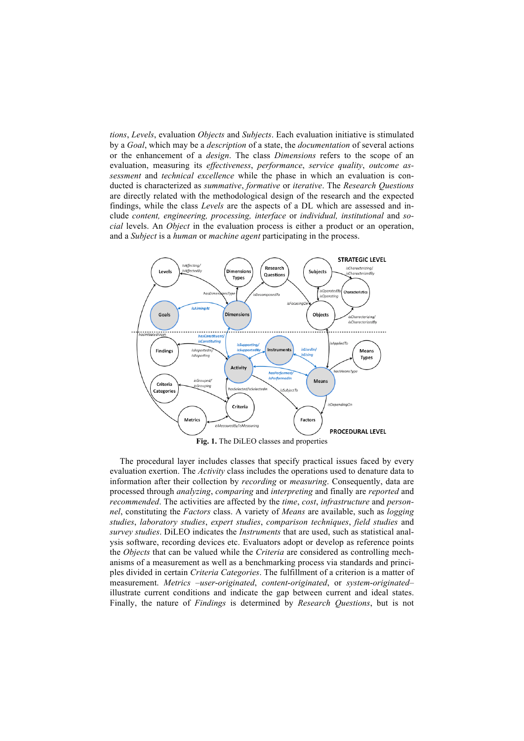*tions*, *Levels*, evaluation *Objects* and *Subjects*. Each evaluation initiative is stimulated by a *Goal*, which may be a *description* of a state, the *documentation* of several actions or the enhancement of a *design*. The class *Dimensions* refers to the scope of an evaluation, measuring its *effectiveness*, *performance*, *service quality*, *outcome assessment* and *technical excellence* while the phase in which an evaluation is conducted is characterized as *summative*, *formative* or *iterative*. The *Research Questions* are directly related with the methodological design of the research and the expected findings, while the class *Levels* are the aspects of a DL which are assessed and include *content, engineering, processing, interface* or *individual, institutional* and *social* levels. An *Object* in the evaluation process is either a product or an operation, and a *Subject* is a *human* or *machine agent* participating in the process.



**Fig. 1.** The DiLEO classes and properties

The procedural layer includes classes that specify practical issues faced by every evaluation exertion. The *Activity* class includes the operations used to denature data to information after their collection by *recording* or *measuring*. Consequently, data are processed through *analyzing*, *comparing* and *interpreting* and finally are *reported* and *recommended*. The activities are affected by the *time*, *cost*, *infrastructure* and *personnel*, constituting the *Factors* class. A variety of *Means* are available, such as *logging studies*, *laboratory studies*, *expert studies*, *comparison techniques*, *field studies* and *survey studies*. DiLEO indicates the *Instruments* that are used, such as statistical analysis software, recording devices etc. Evaluators adopt or develop as reference points the *Objects* that can be valued while the *Criteria* are considered as controlling mechanisms of a measurement as well as a benchmarking process via standards and principles divided in certain *Criteria Categories*. The fulfillment of a criterion is a matter of measurement. *Metrics* –*user*-*originated*, *content*-*originated*, or *system*-*originated*– illustrate current conditions and indicate the gap between current and ideal states. Finally, the nature of *Findings* is determined by *Research Questions*, but is not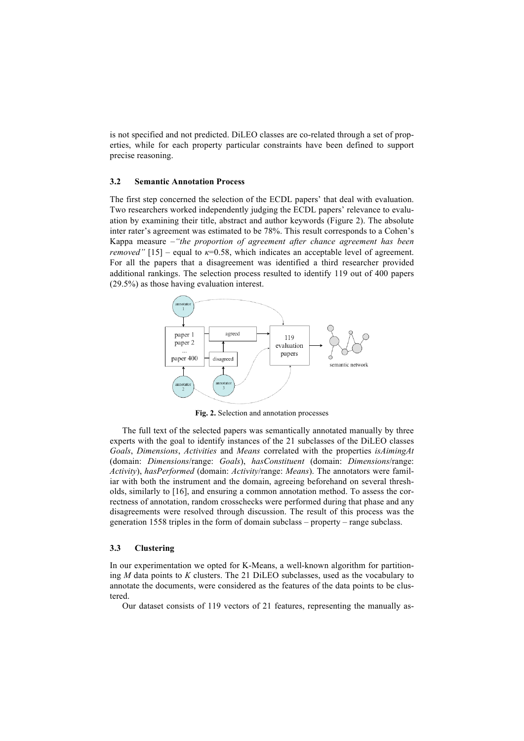is not specified and not predicted. DiLEO classes are co-related through a set of properties, while for each property particular constraints have been defined to support precise reasoning.

### **3.2 Semantic Annotation Process**

The first step concerned the selection of the ECDL papers' that deal with evaluation. Two researchers worked independently judging the ECDL papers' relevance to evaluation by examining their title, abstract and author keywords (Figure 2). The absolute inter rater's agreement was estimated to be 78%. This result corresponds to a Cohen's Kappa measure –*"the proportion of agreement after chance agreement has been removed"* [15] – equal to  $\kappa$ =0.58, which indicates an acceptable level of agreement. For all the papers that a disagreement was identified a third researcher provided additional rankings. The selection process resulted to identify 119 out of 400 papers (29.5%) as those having evaluation interest.



**Fig. 2.** Selection and annotation processes

The full text of the selected papers was semantically annotated manually by three experts with the goal to identify instances of the 21 subclasses of the DiLEO classes *Goals*, *Dimensions*, *Activities* and *Means* correlated with the properties *isAimingAt* (domain: *Dimensions*/range: *Goals*), *hasConstituent* (domain: *Dimensions*/range: *Activity*), *hasPerformed* (domain: *Activity*/range: *Means*). The annotators were familiar with both the instrument and the domain, agreeing beforehand on several thresholds, similarly to [16], and ensuring a common annotation method. To assess the correctness of annotation, random crosschecks were performed during that phase and any disagreements were resolved through discussion. The result of this process was the generation 1558 triples in the form of domain subclass – property – range subclass.

#### **3.3 Clustering**

In our experimentation we opted for K-Means, a well-known algorithm for partitioning *M* data points to *K* clusters. The 21 DiLEO subclasses, used as the vocabulary to annotate the documents, were considered as the features of the data points to be clustered.

Our dataset consists of 119 vectors of 21 features, representing the manually as-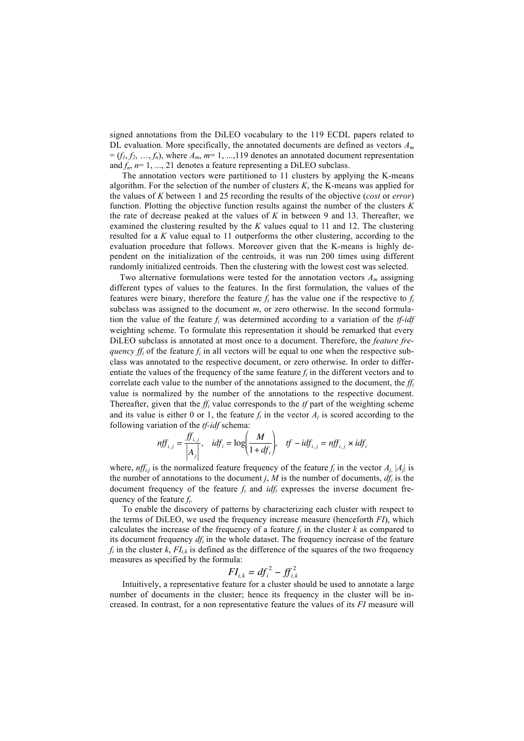signed annotations from the DiLEO vocabulary to the 119 ECDL papers related to DL evaluation. More specifically, the annotated documents are defined as vectors *Am*  $=(f_1, f_2, \ldots, f_n)$ , where  $A_m$ ,  $m=1, \ldots, 119$  denotes an annotated document representation and  $f_n$ ,  $n=1, ..., 21$  denotes a feature representing a DiLEO subclass.

The annotation vectors were partitioned to 11 clusters by applying the K-means algorithm. For the selection of the number of clusters *K*, the K-means was applied for the values of *K* between 1 and 25 recording the results of the objective (*cost* or *error*) function. Plotting the objective function results against the number of the clusters *K* the rate of decrease peaked at the values of  $K$  in between 9 and 13. Thereafter, we examined the clustering resulted by the *K* values equal to 11 and 12. The clustering resulted for a *K* value equal to 11 outperforms the other clustering, according to the evaluation procedure that follows. Moreover given that the K-means is highly dependent on the initialization of the centroids, it was run 200 times using different randomly initialized centroids. Then the clustering with the lowest cost was selected.

Two alternative formulations were tested for the annotation vectors *Am* assigning different types of values to the features. In the first formulation, the values of the features were binary, therefore the feature  $f_i$  has the value one if the respective to  $f_i$ subclass was assigned to the document *m*, or zero otherwise. In the second formulation the value of the feature *fi* was determined according to a variation of the *tf-idf* weighting scheme. To formulate this representation it should be remarked that every DiLEO subclass is annotated at most once to a document. Therefore, the *feature frequency*  $f_i$  of the feature  $f_i$  in all vectors will be equal to one when the respective subclass was annotated to the respective document, or zero otherwise. In order to differentiate the values of the frequency of the same feature  $f_i$  in the different vectors and to correlate each value to the number of the annotations assigned to the document, the  $f_i$ value is normalized by the number of the annotations to the respective document. Thereafter, given that the *ffi* value corresponds to the *tf* part of the weighting scheme and its value is either 0 or 1, the feature  $f_i$  in the vector  $A_i$  is scored according to the following variation of the *tf-idf* schema:

$$
nf f_{i,j} = \frac{f f_{i,j}}{\left| A_j \right|}, \quad id f_i = \log \left( \frac{M}{1 + df_i} \right), \quad tf - id f_{i,j} = nf f_{i,j} \times id f_i
$$

quency of the feature  $f_i$ . where,  $nff_{i,j}$  is the normalized feature frequency of the feature  $f_i$  in the vector  $A_{j}$ ,  $|A_j|$  is the number of annotations to the document *j*, *M* is the number of documents,  $df<sub>i</sub>$  is the document frequency of the feature  $f_i$  and  $\frac{idf_i}{dt}$  expresses the inverse document fre-

To enable the discovery of patterns by characterizing each cluster with respect to the terms of DiLEO, we used the frequency increase measure (henceforth *FI*), which calculates the increase of the frequency of a feature  $f_i$  in the cluster  $k$  as compared to its document frequency *dfi* in the whole dataset. The frequency increase of the feature  $f_i$  in the cluster  $k$ ,  $FI_{ik}$  is defined as the difference of the squares of the two frequency measures as specified by the formula:

$$
FI_{i,k}=df_i^2-ff_{i,k}^2
$$

Intuitively, a representative feature for a cluster should be used to annotate a large number of documents in the cluster; hence its frequency in the cluster will be increased. In contrast, for a non representative feature the values of its *FI* measure will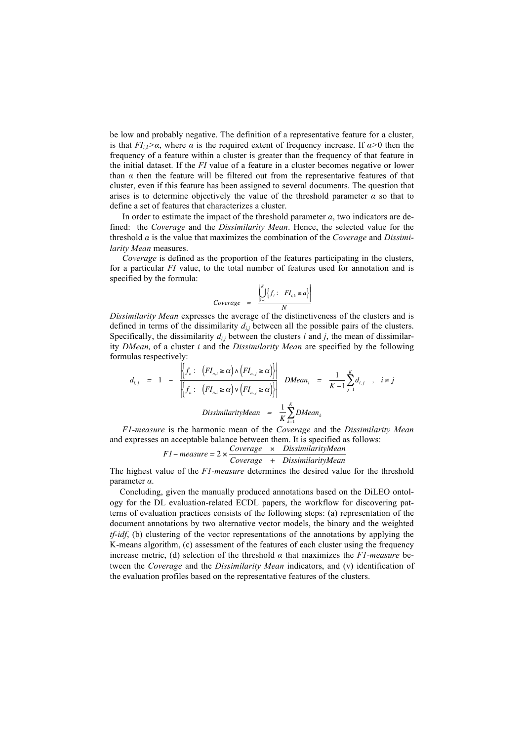be low and probably negative. The definition of a representative feature for a cluster, is that  $FI_{ik}>\alpha$ , where  $\alpha$  is the required extent of frequency increase. If  $\alpha>0$  then the frequency of a feature within a cluster is greater than the frequency of that feature in the initial dataset. If the *FI* value of a feature in a cluster becomes negative or lower than  $\alpha$  then the feature will be filtered out from the representative features of that cluster, even if this feature has been assigned to several documents. The question that arises is to determine objectively the value of the threshold parameter  $\alpha$  so that to define a set of features that characterizes a cluster.

In order to estimate the impact of the threshold parameter  $\alpha$ , two indicators are defined: the *Coverage* and the *Dissimilarity Mean*. Hence, the selected value for the threshold *α* is the value that maximizes the combination of the *Coverage* and *Dissimilarity Mean* measures.

*Coverage* is defined as the proportion of the features participating in the clusters, for a particular *FI* value, to the total number of features used for annotation and is specified by the formula:

$$
Coverage = \frac{\left| \bigcup_{k=1}^{K} \{ f_i : FI_{i,k} \geq a \} \right|}{N}
$$

*Dissimilarity Mean* expresses the average of the distinctiveness of the clusters and is Specifically, the dissimilarity  $d_{i,j}$  between the clusters  $i$  and  $j$ , the mean of dissimilardefined in terms of the dissimilarity  $d_{i,j}$  between all the possible pairs of the clusters. ity *DMeani* of a cluster *i* and the *Dissimilarity Mean* are specified by the following formulas respectively:

$$
d_{i,j} = 1 - \frac{\left| \left\{ f_n: (FI_{n,i} \ge \alpha) \wedge \left( FI_{n,j} \ge \alpha \right) \right\} \right|}{\left| \left\{ f_n: (FI_{n,i} \ge \alpha) \vee \left( FI_{n,j} \ge \alpha \right) \right\} \right|} \quad DMean_i = \frac{1}{K-1} \sum_{j=1}^{K} d_{i,j} , i \ne j
$$
  
DissimilarityMean =  $\frac{1}{K} \sum_{k=1}^{K} DMean_k$ 

*F1-measure* is the harmonic mean of the *Coverage* and the *Dissimilarity Mean* and expresses an acceptable balance between them. It is specified as follows:

$$
F1-measure = 2 \times \frac{Coverage \times DissimilarityMean}{Coverage + DissimilarityMean}
$$

The highest value of the *F1-measure* determines the desired value for the threshold parameter *α*.

estimating, given the mandality produced allocations based on the DIEEO offici-<br>logy for the DL evaluation-related ECDL papers, the workflow for discovering pat-Concluding, given the manually produced annotations based on the DiLEO ontolterns of evaluation practices consists of the following steps: (a) representation of the document annotations by two alternative vector models, the binary and the weighted *tf-idf*, (b) clustering of the vector representations of the annotations by applying the K-means algorithm, (c) assessment of the features of each cluster using the frequency increase metric, (d) selection of the threshold  $\alpha$  that maximizes the *F1-measure* between the *Coverage* and the *Dissimilarity Mean* indicators, and (v) identification of the evaluation profiles based on the representative features of the clusters.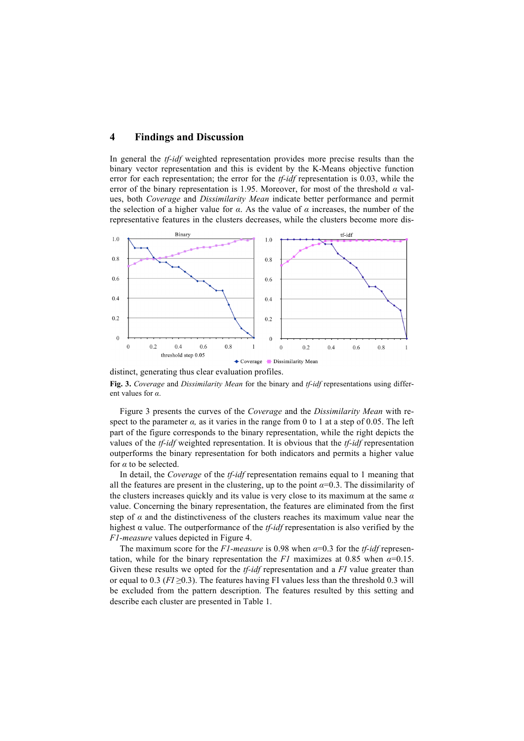## **4 Findings and Discussion**

In general the *tf-idf* weighted representation provides more precise results than the binary vector representation and this is evident by the K-Means objective function error for each representation; the error for the *tf-idf* representation is 0.03, while the error of the binary representation is 1.95. Moreover, for most of the threshold *α* values, both *Coverage* and *Dissimilarity Mean* indicate better performance and permit the selection of a higher value for  $\alpha$ . As the value of  $\alpha$  increases, the number of the representative features in the clusters decreases, while the clusters become more dis-



distinct, generating thus clear evaluation profiles.

**Fig. 3.** *Coverage* and *Dissimilarity Mean* for the binary and *tf-idf* representations using different values for *α*.

Figure 3 presents the curves of the *Coverage* and the *Dissimilarity Mean* with respect to the parameter  $\alpha$ , as it varies in the range from 0 to 1 at a step of 0.05. The left part of the figure corresponds to the binary representation, while the right depicts the values of the *tf-idf* weighted representation. It is obvious that the *tf-idf* representation outperforms the binary representation for both indicators and permits a higher value for *α* to be selected.

In detail, the *Coverage* of the *tf-idf* representation remains equal to 1 meaning that all the features are present in the clustering, up to the point  $\alpha=0.3$ . The dissimilarity of the clusters increases quickly and its value is very close to its maximum at the same *α* value. Concerning the binary representation, the features are eliminated from the first step of  $\alpha$  and the distinctiveness of the clusters reaches its maximum value near the highest α value. The outperformance of the *tf-idf* representation is also verified by the *F1-measure* values depicted in Figure 4.

The maximum score for the *F1-measure* is 0.98 when *α*=0.3 for the *tf-idf* representation, while for the binary representation the *F1* maximizes at 0.85 when  $\alpha$ =0.15. Given these results we opted for the *tf-idf* representation and a *FI* value greater than or equal to 0.3 ( $FI \ge 0.3$ ). The features having FI values less than the threshold 0.3 will be excluded from the pattern description. The features resulted by this setting and describe each cluster are presented in Table 1.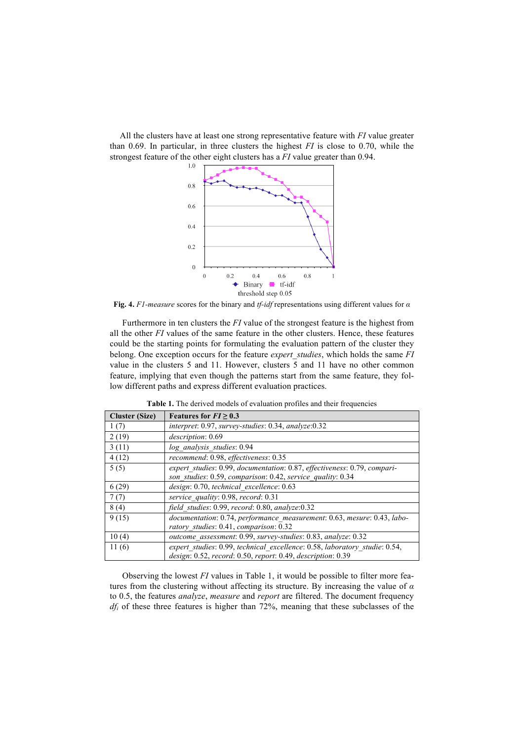All the clusters have at least one strong representative feature with *FI* value greater than 0.69. In particular, in three clusters the highest *FI* is close to 0.70, while the strongest feature of the other eight clusters has a *FI* value greater than 0.94.



**Fig. 4.** *F1-measure* scores for the binary and *tf-idf* representations using different values for *α*

Furthermore in ten clusters the *FI* value of the strongest feature is the highest from all the other *FI* values of the same feature in the other clusters. Hence, these features could be the starting points for formulating the evaluation pattern of the cluster they belong. One exception occurs for the feature *expert\_studies*, which holds the same *FI* value in the clusters 5 and 11. However, clusters 5 and 11 have no other common feature, implying that even though the patterns start from the same feature, they follow different paths and express different evaluation practices.

| <b>Cluster (Size)</b> | Features for $FI \geq 0.3$                                                                                                                |
|-----------------------|-------------------------------------------------------------------------------------------------------------------------------------------|
| 1(7)                  | $interpret: 0.97$ , survey-studies: 0.34, analyze: 0.32                                                                                   |
| 2(19)                 | description: 0.69                                                                                                                         |
| 3(11)                 | log analysis studies: 0.94                                                                                                                |
| 4(12)                 | recommend: 0.98, effectiveness: 0.35                                                                                                      |
| 5(5)                  | expert studies: 0.99, documentation: 0.87, effectiveness: 0.79, compari-<br>son studies: 0.59, comparison: 0.42, service quality: 0.34    |
| 6(29)                 | design: 0.70, technical excellence: 0.63                                                                                                  |
| 7(7)                  | service quality: 0.98, record: 0.31                                                                                                       |
| 8(4)                  | field studies: 0.99, record: 0.80, analyze:0.32                                                                                           |
| 9(15)                 | documentation: 0.74, performance measurement: 0.63, mesure: 0.43, labo-<br>ratory studies: 0.41, comparison: 0.32                         |
| 10(4)                 | outcome assessment: 0.99, survey-studies: 0.83, analyze: 0.32                                                                             |
| 11(6)                 | expert studies: 0.99, technical excellence: 0.58, laboratory studie: 0.54,<br>design: 0.52, record: 0.50, report: 0.49, description: 0.39 |

**Table 1.** The derived models of evaluation profiles and their frequencies

Observing the lowest *FI* values in Table 1, it would be possible to filter more features from the clustering without affecting its structure. By increasing the value of *α* to 0.5, the features *analyze*, *measure* and *report* are filtered. The document frequency *dfi* of these three features is higher than 72%, meaning that these subclasses of the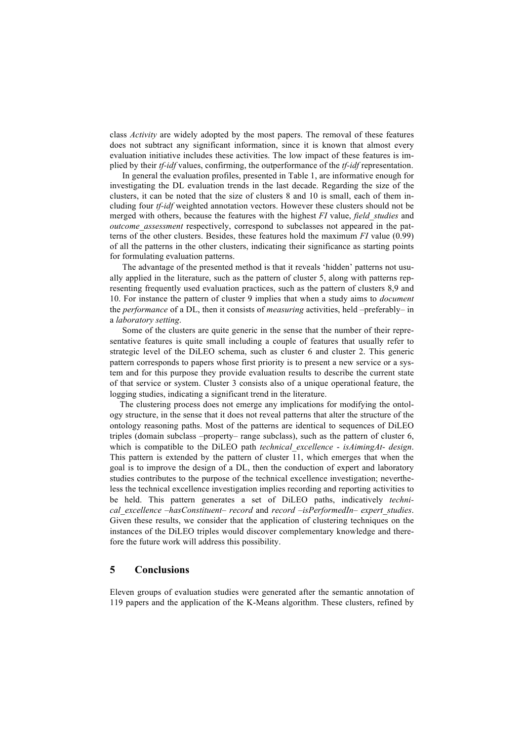class *Activity* are widely adopted by the most papers. The removal of these features does not subtract any significant information, since it is known that almost every evaluation initiative includes these activities. The low impact of these features is implied by their *tf-idf* values, confirming, the outperformance of the *tf-idf* representation.

In general the evaluation profiles, presented in Table 1, are informative enough for investigating the DL evaluation trends in the last decade. Regarding the size of the clusters, it can be noted that the size of clusters 8 and 10 is small, each of them including four *tf-idf* weighted annotation vectors. However these clusters should not be merged with others, because the features with the highest *FI* value, *field\_studies* and *outcome\_assessment* respectively, correspond to subclasses not appeared in the patterns of the other clusters. Besides, these features hold the maximum *FI* value (0.99) of all the patterns in the other clusters, indicating their significance as starting points for formulating evaluation patterns.

The advantage of the presented method is that it reveals 'hidden' patterns not usually applied in the literature, such as the pattern of cluster 5, along with patterns representing frequently used evaluation practices, such as the pattern of clusters 8,9 and 10. For instance the pattern of cluster 9 implies that when a study aims to *document*  the *performance* of a DL, then it consists of *measuring* activities, held –preferably– in a *laboratory setting*.

Some of the clusters are quite generic in the sense that the number of their representative features is quite small including a couple of features that usually refer to strategic level of the DiLEO schema, such as cluster 6 and cluster 2. This generic pattern corresponds to papers whose first priority is to present a new service or a system and for this purpose they provide evaluation results to describe the current state of that service or system. Cluster 3 consists also of a unique operational feature, the logging studies, indicating a significant trend in the literature.

The clustering process does not emerge any implications for modifying the ontology structure, in the sense that it does not reveal patterns that alter the structure of the ontology reasoning paths. Most of the patterns are identical to sequences of DiLEO triples (domain subclass –property– range subclass), such as the pattern of cluster 6, which is compatible to the DiLEO path *technical\_excellence* - *isAimingAt*- *design*. This pattern is extended by the pattern of cluster 11, which emerges that when the goal is to improve the design of a DL, then the conduction of expert and laboratory studies contributes to the purpose of the technical excellence investigation; nevertheless the technical excellence investigation implies recording and reporting activities to be held. This pattern generates a set of DiLEO paths, indicatively *technical\_excellence* –*hasConstituent*– *record* and *record* –*isPerformedIn*– *expert\_studies*. Given these results, we consider that the application of clustering techniques on the instances of the DiLEO triples would discover complementary knowledge and therefore the future work will address this possibility.

## **5 Conclusions**

Eleven groups of evaluation studies were generated after the semantic annotation of 119 papers and the application of the K-Means algorithm. These clusters, refined by